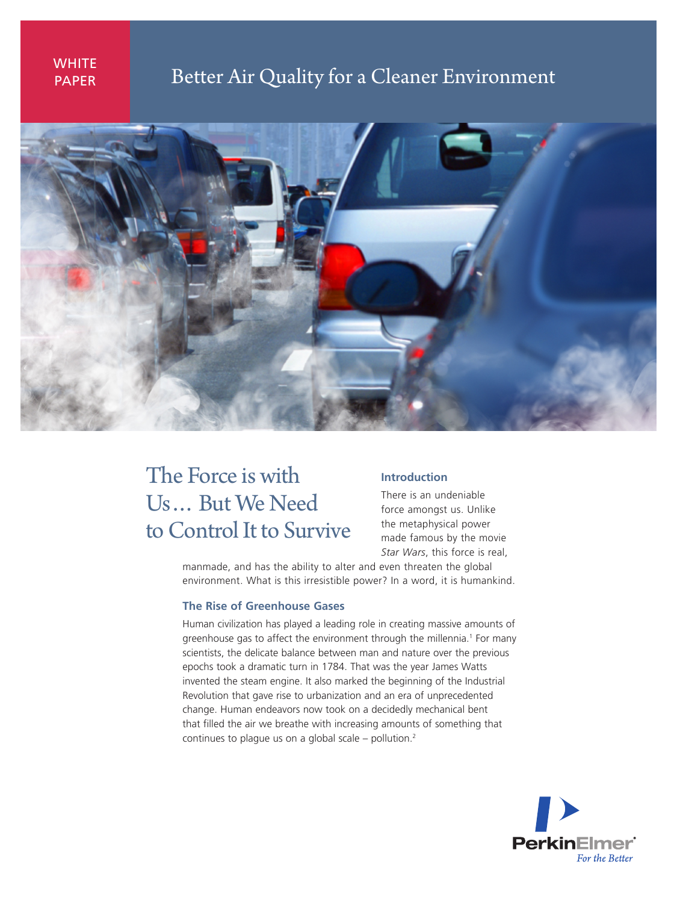# **WHITE** PAPER

# Better Air Quality for a Cleaner Environment



# The Force is with Us… But We Need to Control It to Survive

### **Introduction**

There is an undeniable force amongst us. Unlike the metaphysical power made famous by the movie *Star Wars*, this force is real,

manmade, and has the ability to alter and even threaten the global environment. What is this irresistible power? In a word, it is humankind.

#### **The Rise of Greenhouse Gases**

Human civilization has played a leading role in creating massive amounts of greenhouse gas to affect the environment through the millennia.<sup>1</sup> For many scientists, the delicate balance between man and nature over the previous epochs took a dramatic turn in 1784. That was the year James Watts invented the steam engine. It also marked the beginning of the Industrial Revolution that gave rise to urbanization and an era of unprecedented change. Human endeavors now took on a decidedly mechanical bent that filled the air we breathe with increasing amounts of something that continues to plague us on a global scale – pollution.<sup>2</sup>

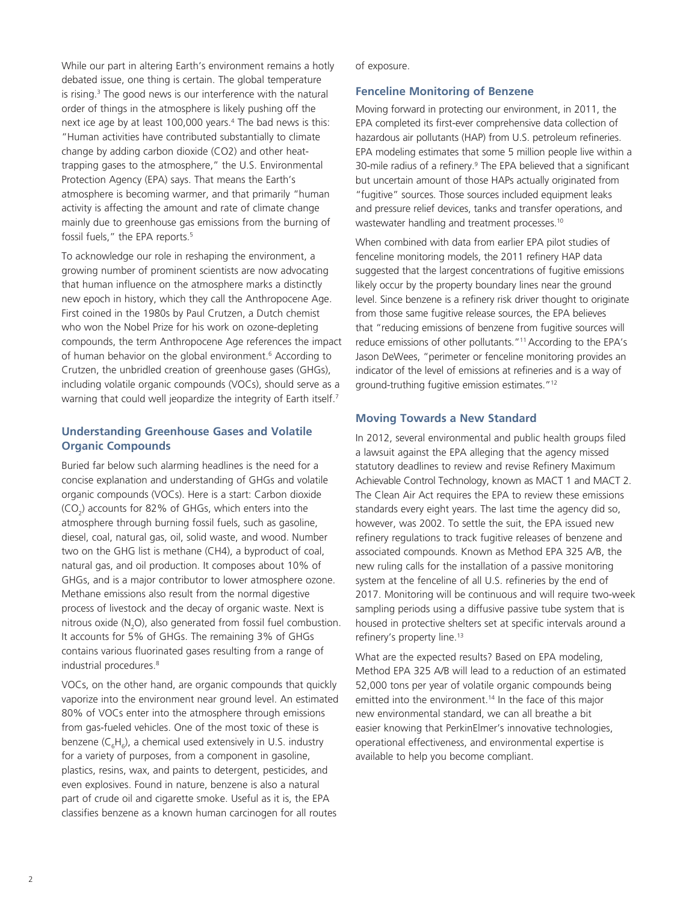While our part in altering Earth's environment remains a hotly debated issue, one thing is certain. The global temperature is rising.<sup>3</sup> The good news is our interference with the natural order of things in the atmosphere is likely pushing off the next ice age by at least 100,000 years.<sup>4</sup> The bad news is this: "Human activities have contributed substantially to climate change by adding carbon dioxide (CO2) and other heattrapping gases to the atmosphere," the U.S. Environmental Protection Agency (EPA) says. That means the Earth's atmosphere is becoming warmer, and that primarily "human activity is affecting the amount and rate of climate change mainly due to greenhouse gas emissions from the burning of fossil fuels," the EPA reports.<sup>5</sup>

To acknowledge our role in reshaping the environment, a growing number of prominent scientists are now advocating that human influence on the atmosphere marks a distinctly new epoch in history, which they call the Anthropocene Age. First coined in the 1980s by Paul Crutzen, a Dutch chemist who won the Nobel Prize for his work on ozone-depleting compounds, the term Anthropocene Age references the impact of human behavior on the global environment.<sup>6</sup> According to Crutzen, the unbridled creation of greenhouse gases (GHGs), including volatile organic compounds (VOCs), should serve as a warning that could well jeopardize the integrity of Earth itself.<sup>7</sup>

# **Understanding Greenhouse Gases and Volatile Organic Compounds**

Buried far below such alarming headlines is the need for a concise explanation and understanding of GHGs and volatile organic compounds (VOCs). Here is a start: Carbon dioxide (CO<sub>2</sub>) accounts for 82% of GHGs, which enters into the atmosphere through burning fossil fuels, such as gasoline, diesel, coal, natural gas, oil, solid waste, and wood. Number two on the GHG list is methane (CH4), a byproduct of coal, natural gas, and oil production. It composes about 10% of GHGs, and is a major contributor to lower atmosphere ozone. Methane emissions also result from the normal digestive process of livestock and the decay of organic waste. Next is nitrous oxide  $(N_2O)$ , also generated from fossil fuel combustion. It accounts for 5% of GHGs. The remaining 3% of GHGs contains various fluorinated gases resulting from a range of industrial procedures.<sup>8</sup>

VOCs, on the other hand, are organic compounds that quickly vaporize into the environment near ground level. An estimated 80% of VOCs enter into the atmosphere through emissions from gas-fueled vehicles. One of the most toxic of these is benzene (C<sub>6</sub>H<sub>6</sub>), a chemical used extensively in U.S. industry for a variety of purposes, from a component in gasoline, plastics, resins, wax, and paints to detergent, pesticides, and even explosives. Found in nature, benzene is also a natural part of crude oil and cigarette smoke. Useful as it is, the EPA classifies benzene as a known human carcinogen for all routes

of exposure.

# **Fenceline Monitoring of Benzene**

Moving forward in protecting our environment, in 2011, the EPA completed its first-ever comprehensive data collection of hazardous air pollutants (HAP) from U.S. petroleum refineries. EPA modeling estimates that some 5 million people live within a 30-mile radius of a refinery.<sup>9</sup> The EPA believed that a significant but uncertain amount of those HAPs actually originated from "fugitive" sources. Those sources included equipment leaks and pressure relief devices, tanks and transfer operations, and wastewater handling and treatment processes.<sup>10</sup>

When combined with data from earlier EPA pilot studies of fenceline monitoring models, the 2011 refinery HAP data suggested that the largest concentrations of fugitive emissions likely occur by the property boundary lines near the ground level. Since benzene is a refinery risk driver thought to originate from those same fugitive release sources, the EPA believes that "reducing emissions of benzene from fugitive sources will reduce emissions of other pollutants."11 According to the EPA's Jason DeWees, "perimeter or fenceline monitoring provides an indicator of the level of emissions at refineries and is a way of ground-truthing fugitive emission estimates."12

# **Moving Towards a New Standard**

In 2012, several environmental and public health groups filed a lawsuit against the EPA alleging that the agency missed statutory deadlines to review and revise Refinery Maximum Achievable Control Technology, known as MACT 1 and MACT 2. The Clean Air Act requires the EPA to review these emissions standards every eight years. The last time the agency did so, however, was 2002. To settle the suit, the EPA issued new refinery regulations to track fugitive releases of benzene and associated compounds. Known as Method EPA 325 A/B, the new ruling calls for the installation of a passive monitoring system at the fenceline of all U.S. refineries by the end of 2017. Monitoring will be continuous and will require two-week sampling periods using a diffusive passive tube system that is housed in protective shelters set at specific intervals around a refinery's property line.<sup>13</sup>

What are the expected results? Based on EPA modeling, Method EPA 325 A/B will lead to a reduction of an estimated 52,000 tons per year of volatile organic compounds being emitted into the environment.<sup>14</sup> In the face of this major new environmental standard, we can all breathe a bit easier knowing that PerkinElmer's innovative technologies, operational effectiveness, and environmental expertise is available to help you become compliant.